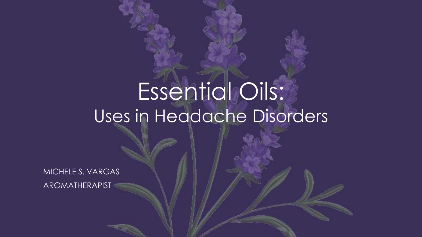# Essential Oils: Uses in Headache Disorders

MICHELE S. VARGAS

AROMATHERAPIST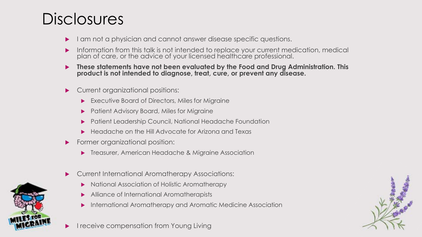#### **Disclosures**

- I am not a physician and cannot answer disease specific questions.
- **Information from this talk is not intended to replace your current medication, medical** plan of care, or the advice of your licensed healthcare professional.
- **These statements have not been evaluated by the Food and Drug Administration. This product is not intended to diagnose, treat, cure, or prevent any disease.**
- Current organizational positions:
	- Executive Board of Directors, Miles for Migraine
	- Patient Advisory Board, Miles for Migraine
	- Patient Leadership Council, National Headache Foundation
	- Headache on the Hill Advocate for Arizona and Texas
- **Former organizational position:** 
	- Treasurer, American Headache & Migraine Association
- Current International Aromatherapy Associations:
	- National Association of Holistic Aromatherapy
	- Alliance of International Aromatherapists
	- International Aromatherapy and Aromatic Medicine Association





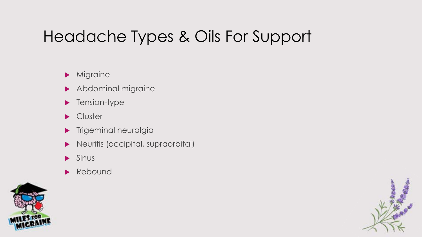### Headache Types & Oils For Support

#### **Migraine**

- Abdominal migraine
- **Tension-type**
- **Cluster**
- **Trigeminal neuralgia**
- **Neuritis (occipital, supraorbital)**
- $\blacktriangleright$  Sinus
- Rebound



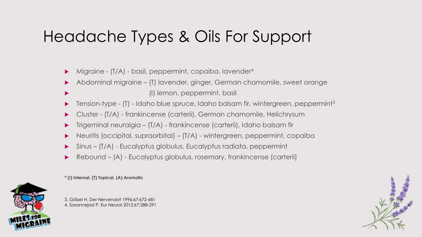#### Headache Types & Oils For Support

- ▶ Migraine (T/A) basil, peppermint, copaiba, lavender<sup>4</sup>
- Abdominal migraine (T) lavender, ginger, German chamomile, sweet orange (I) lemon, peppermint, basil
- Tension-type (T) Idaho blue spruce, Idaho balsam fir, wintergreen, peppermint3
- Cluster (T/A) frankincense (carterii), German chamomile, Helichrysum
- Trigeminal neuralgia (T/A) frankincense (carterii), Idaho balsam fir
- Neuritis (occipital, supraorbital) (T/A) wintergreen, peppermint, copaiba
- Sinus (T/A) Eucalyptus globulus, Eucalyptus radiata, peppermint
- Rebound (A) Eucalyptus globulus, rosemary, frankincense (carterii)



**\* (I) Internal, (T) Topical, (A) Aromatic**

3. Göbel H. Der Nervenarzt 1996;67:672-681 4. Sasannejad P. Eur Neurol 2012;67:288-291

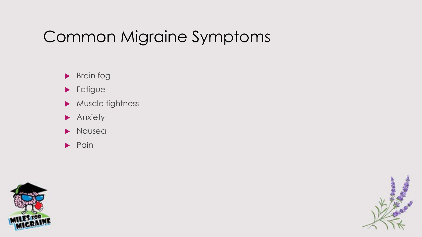#### Common Migraine Symptoms

- **Brain fog**
- **Fatigue**
- Muscle tightness
- **Anxiety**
- Nausea
- $\blacktriangleright$  Pain



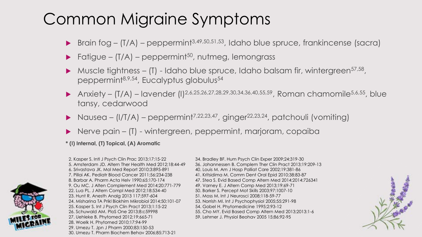#### Common Migraine Symptoms

- ▶ Brain fog (T/A) peppermint<sup>3,49,50,51,53</sup>, Idaho blue spruce, frankincense (sacra)
- $\blacktriangleright$  Fatigue (T/A) peppermint<sup>50</sup>, nutmeg, lemongrass
- $\blacktriangleright$  Muscle fightness (T) Idaho blue spruce, Idaho balsam fir, wintergreen<sup>57,58</sup>, peppermint<sup>8,9,54</sup>, Eucalyptus globulus<sup>54</sup>
- Anxiety (T/A) lavender (I)<sup>2,6,25,26,27,28,29,30,34,36,40,55,59</sup>, Roman chamomile<sup>5,6,55</sup>, blue tansy, cedarwood
- $\blacktriangleright$  Nausea (I/T/A) peppermint<sup>7,22,23,47</sup>, ginger<sup>22,23,24</sup>, patchouli (vomiting)
- ▶ Nerve pain (T) wintergreen, peppermint, marjoram, copaiba
- **\* (I) Internal, (T) Topical, (A) Aromatic**



2. Kasper S. Intl J Psych Clin Prac 2013;17:15-22 34. Bradley BF. Hum Psych Clin Exper 2009;24:319-30 6. Srivastava JK. Mol Med Report 2010;3:895-891 40. Louis M. Am J Hosp Palliat Care 2002;19:381-86 7. Pillai AK. Pediatr Blood Cancer 2011;56:234-238 41. Kritsidima M. Comm Dent Oral Epid 2010;38:83-87 9. Ou MC. J Alten Complement Med 2014;20:771-779 49. Varney E. J Altern Comp Med 2013;19:69-71 22. Lua PL. J Altern Compl Med 2012;18:534-40 50. Barker S. Percept Mot Skills 2003;97:1007-10 23. Hunt R. Anesth Analg 2013 117:597-604 51. Moss M. Int J Neurosci 2008;118-59-77 24. Misharina TA Prikl Biokhim Mikrobiol 2014;50:101-07 53. Norrish MI. Int J Psychophysiol 2005;55:291-98 25. Kasper S. Int J Psych Clin Pract 2013;1:15-22 54. Gobel H. Phytomedicine 1995;2:93-12 27. Uehleke B. Phytomed 2012;19:665-71 59. Lehrner J. Physiol Beohav 2005 15;86:92-95 28. Woelk H. Phytomed 2010;17:94-99 29. Umezu T. Jpn J Pharm 2000;83:150-53 30. Umezu T. Pharm Biochem Behav 2006;85:713-21

5. Amsterdam JD. Altern Ther Health Med 2012;18:44-49 36. Johannessen B. Complem Ther Clin Pract 2013;19:209-13 8. Barbar A. Pharm Acta Helv 1990;65:170-174 47. Stea S. Evid Based Comp Altern Med 2014;2014:726341 26. Schuwald AM. PloS One 2013;8:c59998 55. Cho MY. Evid Based Comp Altern Med 2013;2013:1-6

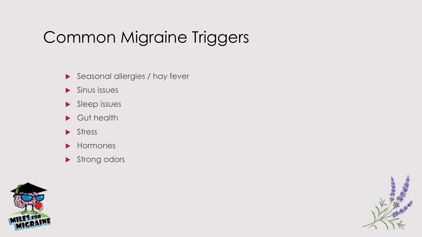### Common Migraine Triggers

- Seasonal allergies / hay fever
- $\blacktriangleright$  Sinus issues
- $\blacktriangleright$  Sleep issues
- Gut health
- Stress
- **Hormones**
- Strong odors



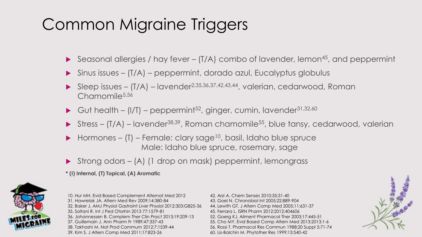### Common Migraine Triggers

- Seasonal allergies / hay fever  $(T/A)$  combo of lavender, lemon<sup>45</sup>, and peppermint
- Sinus issues (T/A) peppermint, dorado azul, Eucalyptus globulus
- Sleep issues (T/A) lavender2,35,36,37,42,43,44, valerian, cedarwood, Roman Chamomile<sup>5,56</sup>
- Gut health  $(I/T)$  peppermint<sup>52</sup>, ginger, cumin, lavender<sup>31,32,60</sup>
- Stress  $(T/A)$  lavender<sup>38,39</sup>, Roman chamomile<sup>55</sup>, blue tansy, cedarwood, valerian
- $\blacktriangleright$  Hormones (T) Female: clary sage<sup>10</sup>, basil, Idaho blue spruce Male: Idaho blue spruce, rosemary, sage
- ▶ Strong odors (A) (1 drop on mask) peppermint, lemongrass
- **\* (I) Internal, (T) Topical, (A) Aromatic**



10. Hur MH. Evid Based Complement Alternat Med 2012 42. Arzi A. Chem Senses 2010;35:31-40 31. Hawrelak JA. Altern Med Rev 2009;14:380-84 43. Goel N. Chronobiol Int 2005;22:889-904 32. Baker J. AMJ Physiol Gastroint Liver Physiol 2012;303:G825-36 44. Lewith GT. J Altern Comp Med 2005;11:631-37 35. Soltani R. Int J Ped Otorhin 2013 77:1579-81 45. Ferrara L. ISRN Pharm 2012;2012:404606 36. Johannessen B. Complem Ther Clin Pract 2013;19:209-13 52. Goerg KJ. Ailment Pharmacol Ther 2003;17:445-51 37. Guillemain J. Ann Pharm Fr 1989;47:337-43 55. Cho MY. Evid Based Comp Altern Med 2013;2013:1-6 38. Takhashi M. Nat Prod Commum 2012;7:1539-44 56. Rossi T. Pharmacol Res Commun 1988;20 Suppl 5:71-74 39. Kim S. J Altern Comp Med 2011;17:823-26 60. Lis-Balchin M. Phytother Res 1999;13:540-42

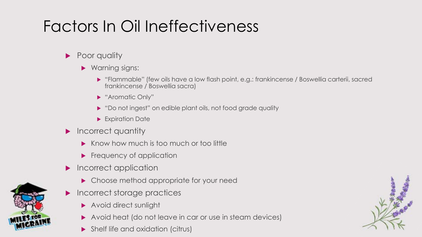## Factors In Oil Ineffectiveness

- Poor quality
	- ▶ Warning signs:
		- "Flammable" (few oils have a low flash point, e.g.: frankincense / Boswellia carterii, sacred frankincense / Boswellia sacra)
		- "Aromatic Only"
		- ▶ "Do not ingest" on edible plant oils, not food grade quality
		- **Expiration Date**
- **Incorrect quantity** 
	- Know how much is too much or too little
	- **Figuency of application**
- Incorrect application
	- ▶ Choose method appropriate for your need
- **Incorrect storage practices** 
	- **Avoid direct sunlight**
	- Avoid heat (do not leave in car or use in steam devices)
	- Shelf life and oxidation (citrus)



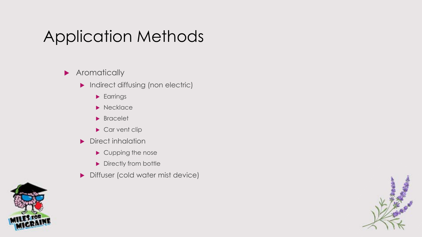#### **Aromatically**

- **Indirect diffusing (non electric)** 
	- **Earrings**
	- $\blacktriangleright$  Necklace
	- **Bracelet**
	- Car vent clip
- Direct inhalation
	- Cupping the nose
	- Directly from bottle
- **Diffuser (cold water mist device)**



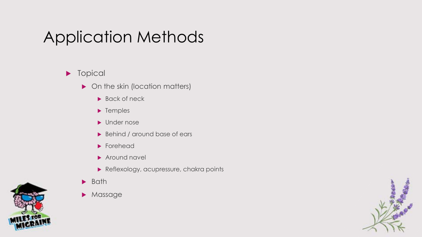#### **Topical**

- On the skin (location matters)
	- ▶ Back of neck
	- **F** Temples
	- **Demonstrate**
	- Behind / around base of ears
	- **Forehead**
	- Around navel
	- Reflexology, acupressure, chakra points
- $\blacktriangleright$  Bath
- **Massage**



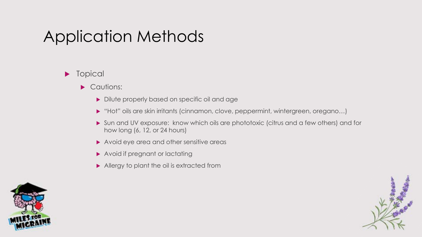#### **Topical**

- Cautions:
	- Dilute properly based on specific oil and age
	- "Hot" oils are skin irritants (cinnamon, clove, peppermint, wintergreen, oregano…)
	- Sun and UV exposure: know which oils are phototoxic (citrus and a few others) and for how long (6, 12, or 24 hours)
	- Avoid eye area and other sensitive areas
	- ▶ Avoid if pregnant or lactating
	- Allergy to plant the oil is extracted from



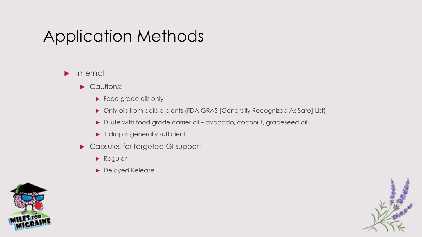#### $\blacktriangleright$  Internal

- Cautions:
	- **Food grade oils only**
	- Only oils from edible plants (FDA GRAS [Generally Recognized As Safe] List)
	- Dilute with food grade carrier oil avocado, coconut, grapeseed oil
	- ▶ 1 drop is generally sufficient
- ▶ Capsules for targeted GI support
	- **Regular**
	- **Delayed Release**



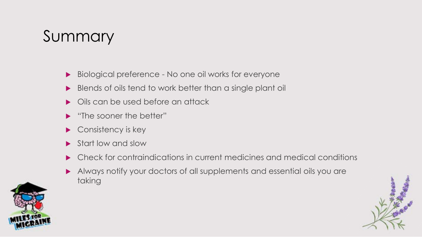### Summary

- ▶ Biological preference No one oil works for everyone
- Blends of oils tend to work better than a single plant oil
- Oils can be used before an attack
- "The sooner the better"
- Consistency is key
- Start low and slow
- Check for contraindications in current medicines and medical conditions
- Always notify your doctors of all supplements and essential oils you are taking



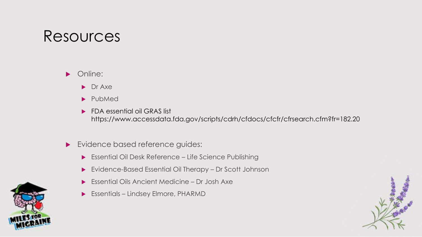#### Resources

**Diameral** 

- **Dr** Axe
- PubMed
- **FDA essential oil GRAS list** https://www.accessdata.fda.gov/scripts/cdrh/cfdocs/cfcfr/cfrsearch.cfm?fr=182.20
- **Exidence based reference guides:** 
	- ▶ Essential Oil Desk Reference Life Science Publishing
	- Evidence-Based Essential Oil Therapy Dr Scott Johnson
	- Essential Oils Ancient Medicine Dr Josh Axe
	- Essentials Lindsey Elmore, PHARMD



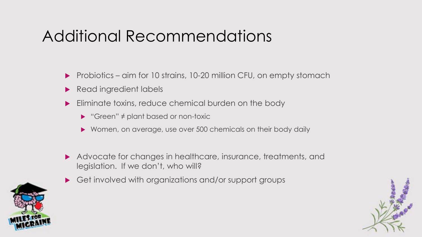#### Additional Recommendations

- ▶ Probiotics aim for 10 strains, 10-20 million CFU, on empty stomach
- Read ingredient labels
- Eliminate toxins, reduce chemical burden on the body
	- "Green" ≠ plant based or non-toxic
	- ▶ Women, on average, use over 500 chemicals on their body daily
- Advocate for changes in healthcare, insurance, treatments, and legislation. If we don't, who will?
- ▶ Get involved with organizations and/or support groups